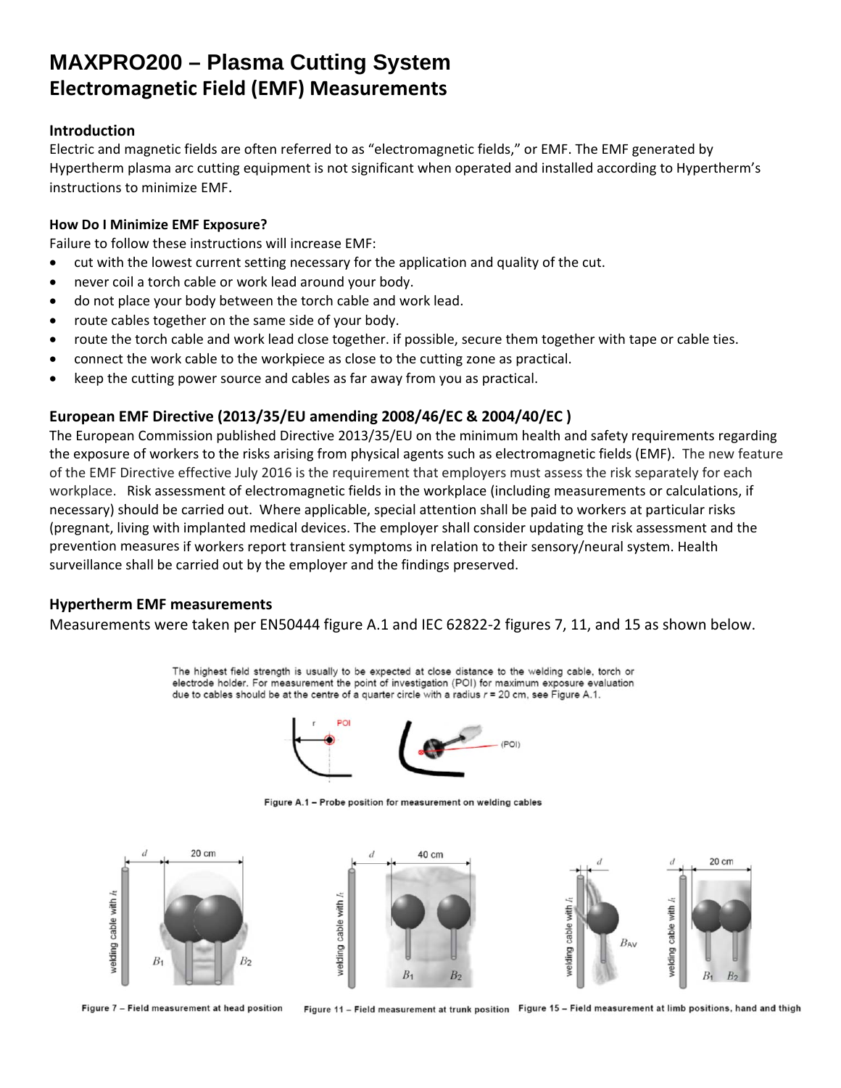## **MAXPRO200 – Plasma Cutting System Electromagnetic Field (EMF) Measurements**

### **Introduction**

Electric and magnetic fields are often referred to as "electromagnetic fields," or EMF. The EMF generated by Hypertherm plasma arc cutting equipment is not significant when operated and installed according to Hypertherm's instructions to minimize EMF.

### **How Do I Minimize EMF Exposure?**

Failure to follow these instructions will increase EMF:

- cut with the lowest current setting necessary for the application and quality of the cut.
- never coil a torch cable or work lead around your body.
- do not place your body between the torch cable and work lead.
- route cables together on the same side of your body.
- route the torch cable and work lead close together. if possible, secure them together with tape or cable ties.
- connect the work cable to the workpiece as close to the cutting zone as practical.
- keep the cutting power source and cables as far away from you as practical.

## **European EMF Directive (2013/35/EU amending 2008/46/EC & 2004/40/EC )**

The European Commission published Directive 2013/35/EU on the minimum health and safety requirements regarding the exposure of workers to the risks arising from physical agents such as electromagnetic fields (EMF). The new feature of the EMF Directive effective July 2016 is the requirement that employers must assess the risk separately for each workplace. Risk assessment of electromagnetic fields in the workplace (including measurements or calculations, if necessary) should be carried out. Where applicable, special attention shall be paid to workers at particular risks (pregnant, living with implanted medical devices. The employer shall consider updating the risk assessment and the prevention measures if workers report transient symptoms in relation to their sensory/neural system. Health surveillance shall be carried out by the employer and the findings preserved.

### **Hypertherm EMF measurements**

Measurements were taken per EN50444 figure A.1 and IEC 62822‐2 figures 7, 11, and 15 as shown below.

The highest field strength is usually to be expected at close distance to the welding cable, torch or electrode holder. For measurement the point of investigation (POI) for maximum exposure evaluation due to cables should be at the centre of a quarter circle with a radius  $r = 20$  cm, see Figure A.1.



Figure A.1 - Probe position for measurement on welding cables



Figure 7 - Field measurement at head position

Figure 11 - Field measurement at trunk position Figure 15 - Field measurement at limb positions, hand and thigh